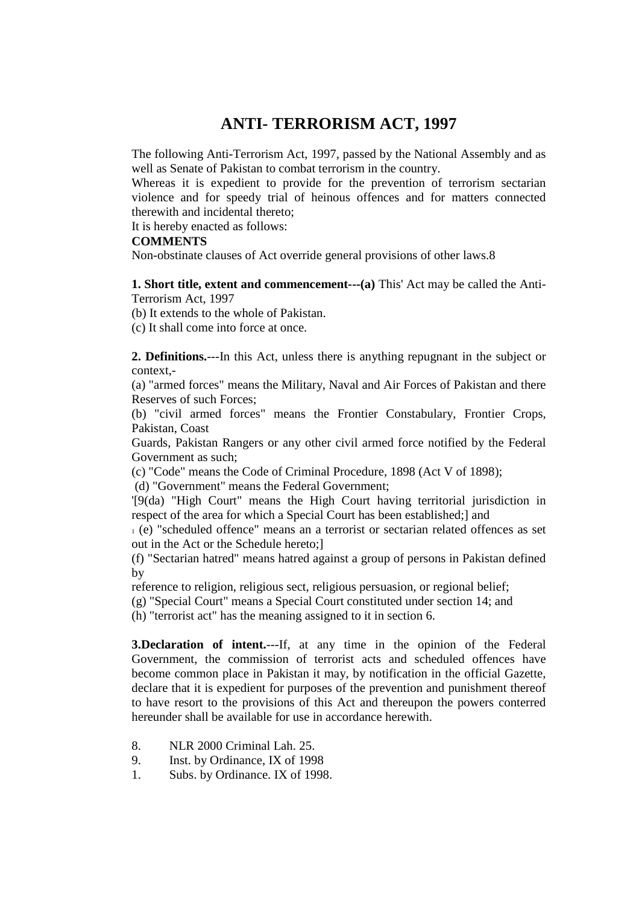# **ANTI- TERRORISM ACT, 1997**

The following Anti-Terrorism Act, 1997, passed by the National Assembly and as well as Senate of Pakistan to combat terrorism in the country.

Whereas it is expedient to provide for the prevention of terrorism sectarian violence and for speedy trial of heinous offences and for matters connected therewith and incidental thereto;

It is hereby enacted as follows:

#### **COMMENTS**

Non-obstinate clauses of Act override general provisions of other laws.8

**1. Short title, extent and commencement---(a)** This' Act may be called the Anti-Terrorism Act, 1997

(b) It extends to the whole of Pakistan.

(c) It shall come into force at once.

**2. Definitions.**---In this Act, unless there is anything repugnant in the subject or context,-

(a) "armed forces" means the Military, Naval and Air Forces of Pakistan and there Reserves of such Forces;

(b) "civil armed forces" means the Frontier Constabulary, Frontier Crops, Pakistan, Coast

Guards, Pakistan Rangers or any other civil armed force notified by the Federal Government as such;

(c) "Code" means the Code of Criminal Procedure, 1898 (Act V of 1898);

(d) "Government" means the Federal Government;

'[9(da) "High Court" means the High Court having territorial jurisdiction in respect of the area for which a Special Court has been established;] and

<sup>1</sup> (e) "scheduled offence" means an a terrorist or sectarian related offences as set out in the Act or the Schedule hereto;]

(f) "Sectarian hatred" means hatred against a group of persons in Pakistan defined by

reference to religion, religious sect, religious persuasion, or regional belief;

(g) "Special Court" means a Special Court constituted under section 14; and

(h) "terrorist act" has the meaning assigned to it in section 6.

**3.Declaration of intent.**---If, at any time in the opinion of the Federal Government, the commission of terrorist acts and scheduled offences have become common place in Pakistan it may, by notification in the official Gazette, declare that it is expedient for purposes of the prevention and punishment thereof to have resort to the provisions of this Act and thereupon the powers conterred hereunder shall be available for use in accordance herewith.

- 8. NLR 2000 Criminal Lah. 25.
- 9. Inst. by Ordinance, IX of 1998
- 1. Subs. by Ordinance. IX of 1998.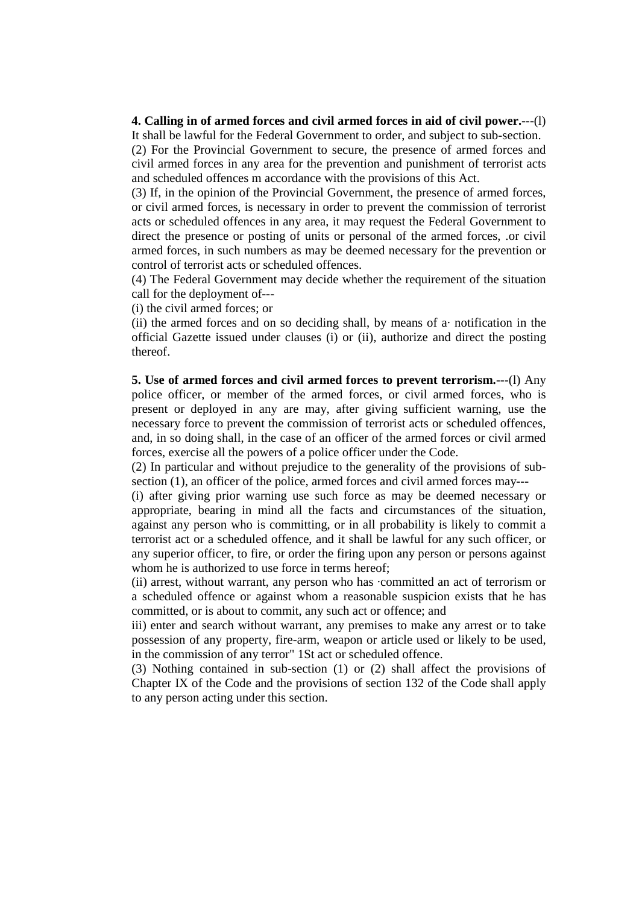#### **4. Calling in of armed forces and civil armed forces in aid of civil power.**---(l)

It shall be lawful for the Federal Government to order, and subject to sub-section. (2) For the Provincial Government to secure, the presence of armed forces and civil armed forces in any area for the prevention and punishment of terrorist acts and scheduled offences m accordance with the provisions of this Act.

(3) If, in the opinion of the Provincial Government, the presence of armed forces, or civil armed forces, is necessary in order to prevent the commission of terrorist acts or scheduled offences in any area, it may request the Federal Government to direct the presence or posting of units or personal of the armed forces, .or civil armed forces, in such numbers as may be deemed necessary for the prevention or control of terrorist acts or scheduled offences.

(4) The Federal Government may decide whether the requirement of the situation call for the deployment of---

(i) the civil armed forces; or

(ii) the armed forces and on so deciding shall, by means of a· notification in the official Gazette issued under clauses (i) or (ii), authorize and direct the posting thereof.

**5. Use of armed forces and civil armed forces to prevent terrorism.**---(l) Any police officer, or member of the armed forces, or civil armed forces, who is present or deployed in any are may, after giving sufficient warning, use the necessary force to prevent the commission of terrorist acts or scheduled offences, and, in so doing shall, in the case of an officer of the armed forces or civil armed forces, exercise all the powers of a police officer under the Code.

(2) In particular and without prejudice to the generality of the provisions of subsection (1), an officer of the police, armed forces and civil armed forces may---

(i) after giving prior warning use such force as may be deemed necessary or appropriate, bearing in mind all the facts and circumstances of the situation, against any person who is committing, or in all probability is likely to commit a terrorist act or a scheduled offence, and it shall be lawful for any such officer, or any superior officer, to fire, or order the firing upon any person or persons against whom he is authorized to use force in terms hereof;

(ii) arrest, without warrant, any person who has ·committed an act of terrorism or a scheduled offence or against whom a reasonable suspicion exists that he has committed, or is about to commit, any such act or offence; and

iii) enter and search without warrant, any premises to make any arrest or to take possession of any property, fire-arm, weapon or article used or likely to be used, in the commission of any terror" 1St act or scheduled offence.

(3) Nothing contained in sub-section (1) or (2) shall affect the provisions of Chapter IX of the Code and the provisions of section 132 of the Code shall apply to any person acting under this section.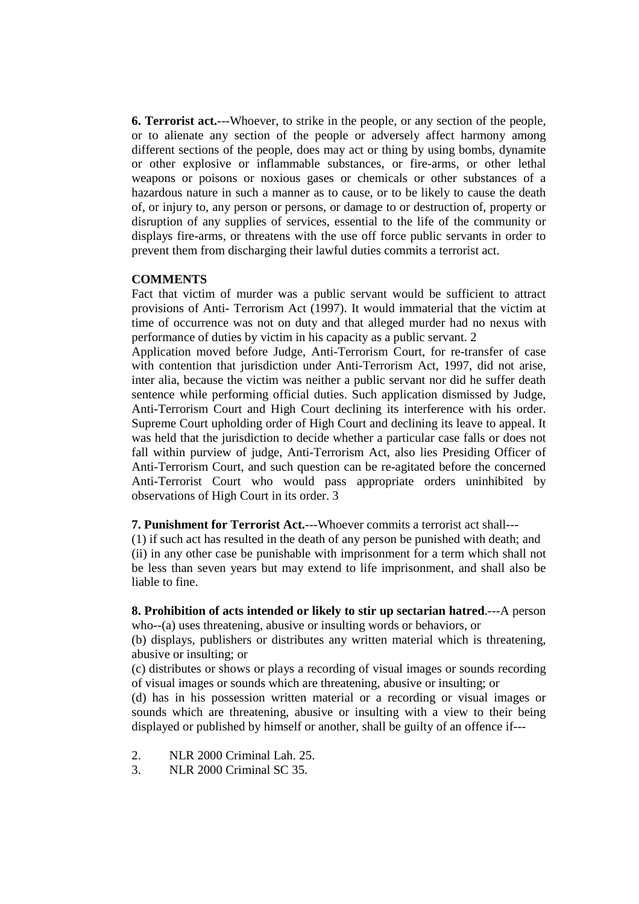**6. Terrorist act.**---Whoever, to strike in the people, or any section of the people, or to alienate any section of the people or adversely affect harmony among different sections of the people, does may act or thing by using bombs, dynamite or other explosive or inflammable substances, or fire-arms, or other lethal weapons or poisons or noxious gases or chemicals or other substances of a hazardous nature in such a manner as to cause, or to be likely to cause the death of, or injury to, any person or persons, or damage to or destruction of, property or disruption of any supplies of services, essential to the life of the community or displays fire-arms, or threatens with the use off force public servants in order to prevent them from discharging their lawful duties commits a terrorist act.

## **COMMENTS**

Fact that victim of murder was a public servant would be sufficient to attract provisions of Anti- Terrorism Act (1997). It would immaterial that the victim at time of occurrence was not on duty and that alleged murder had no nexus with performance of duties by victim in his capacity as a public servant. 2

Application moved before Judge, Anti-Terrorism Court, for re-transfer of case with contention that jurisdiction under Anti-Terrorism Act, 1997, did not arise, inter alia, because the victim was neither a public servant nor did he suffer death sentence while performing official duties. Such application dismissed by Judge, Anti-Terrorism Court and High Court declining its interference with his order. Supreme Court upholding order of High Court and declining its leave to appeal. It was held that the jurisdiction to decide whether a particular case falls or does not fall within purview of judge, Anti-Terrorism Act, also lies Presiding Officer of Anti-Terrorism Court, and such question can be re-agitated before the concerned Anti-Terrorist Court who would pass appropriate orders uninhibited by observations of High Court in its order. 3

**7. Punishment for Terrorist Act.**---Whoever commits a terrorist act shall---

(1) if such act has resulted in the death of any person be punished with death; and (ii) in any other case be punishable with imprisonment for a term which shall not be less than seven years but may extend to life imprisonment, and shall also be liable to fine.

**8. Prohibition of acts intended or likely to stir up sectarian hatred**.---A person who--(a) uses threatening, abusive or insulting words or behaviors, or

(b) displays, publishers or distributes any written material which is threatening, abusive or insulting; or

(c) distributes or shows or plays a recording of visual images or sounds recording of visual images or sounds which are threatening, abusive or insulting; or

(d) has in his possession written material or a recording or visual images or sounds which are threatening, abusive or insulting with a view to their being displayed or published by himself or another, shall be guilty of an offence if---

- 2. NLR 2000 Criminal Lah. 25.
- 3. NLR 2000 Criminal SC 35.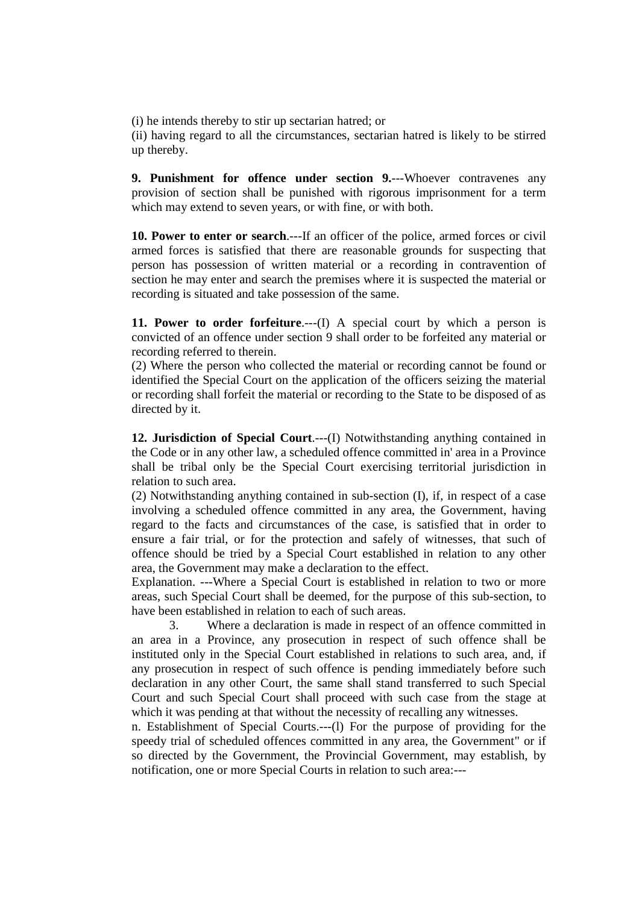(i) he intends thereby to stir up sectarian hatred; or

(ii) having regard to all the circumstances, sectarian hatred is likely to be stirred up thereby.

**9. Punishment for offence under section 9.**---Whoever contravenes any provision of section shall be punished with rigorous imprisonment for a term which may extend to seven years, or with fine, or with both.

**10. Power to enter or search**.---If an officer of the police, armed forces or civil armed forces is satisfied that there are reasonable grounds for suspecting that person has possession of written material or a recording in contravention of section he may enter and search the premises where it is suspected the material or recording is situated and take possession of the same.

**11. Power to order forfeiture.**---(I) A special court by which a person is convicted of an offence under section 9 shall order to be forfeited any material or recording referred to therein.

(2) Where the person who collected the material or recording cannot be found or identified the Special Court on the application of the officers seizing the material or recording shall forfeit the material or recording to the State to be disposed of as directed by it.

**12. Jurisdiction of Special Court**.---(I) Notwithstanding anything contained in the Code or in any other law, a scheduled offence committed in' area in a Province shall be tribal only be the Special Court exercising territorial jurisdiction in relation to such area.

(2) Notwithstanding anything contained in sub-section (I), if, in respect of a case involving a scheduled offence committed in any area, the Government, having regard to the facts and circumstances of the case, is satisfied that in order to ensure a fair trial, or for the protection and safely of witnesses, that such of offence should be tried by a Special Court established in relation to any other area, the Government may make a declaration to the effect.

Explanation. ---Where a Special Court is established in relation to two or more areas, such Special Court shall be deemed, for the purpose of this sub-section, to have been established in relation to each of such areas.

 3. Where a declaration is made in respect of an offence committed in an area in a Province, any prosecution in respect of such offence shall be instituted only in the Special Court established in relations to such area, and, if any prosecution in respect of such offence is pending immediately before such declaration in any other Court, the same shall stand transferred to such Special Court and such Special Court shall proceed with such case from the stage at which it was pending at that without the necessity of recalling any witnesses.

n. Establishment of Special Courts.---(l) For the purpose of providing for the speedy trial of scheduled offences committed in any area, the Government" or if so directed by the Government, the Provincial Government, may establish, by notification, one or more Special Courts in relation to such area:---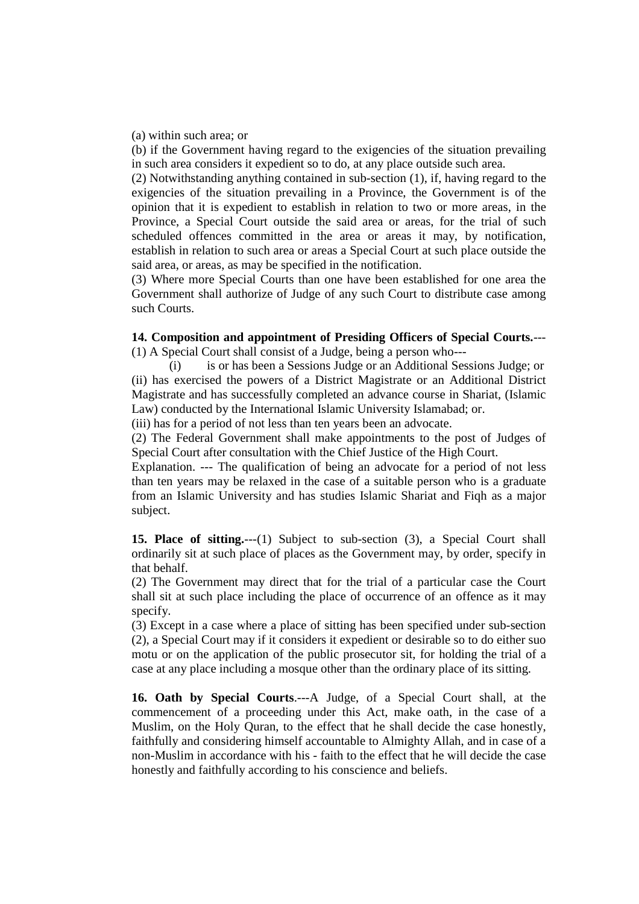(a) within such area; or

(b) if the Government having regard to the exigencies of the situation prevailing in such area considers it expedient so to do, at any place outside such area.

(2) Notwithstanding anything contained in sub-section (1), if, having regard to the exigencies of the situation prevailing in a Province, the Government is of the opinion that it is expedient to establish in relation to two or more areas, in the Province, a Special Court outside the said area or areas, for the trial of such scheduled offences committed in the area or areas it may, by notification, establish in relation to such area or areas a Special Court at such place outside the said area, or areas, as may be specified in the notification.

(3) Where more Special Courts than one have been established for one area the Government shall authorize of Judge of any such Court to distribute case among such Courts.

### **14. Composition and appointment of Presiding Officers of Special Courts.**---

(1) A Special Court shall consist of a Judge, being a person who---

 (i) is or has been a Sessions Judge or an Additional Sessions Judge; or (ii) has exercised the powers of a District Magistrate or an Additional District Magistrate and has successfully completed an advance course in Shariat, (Islamic Law) conducted by the International Islamic University Islamabad; or.

(iii) has for a period of not less than ten years been an advocate.

(2) The Federal Government shall make appointments to the post of Judges of Special Court after consultation with the Chief Justice of the High Court.

Explanation. --- The qualification of being an advocate for a period of not less than ten years may be relaxed in the case of a suitable person who is a graduate from an Islamic University and has studies Islamic Shariat and Fiqh as a major subject.

**15. Place of sitting.**---(1) Subject to sub-section (3), a Special Court shall ordinarily sit at such place of places as the Government may, by order, specify in that behalf.

(2) The Government may direct that for the trial of a particular case the Court shall sit at such place including the place of occurrence of an offence as it may specify.

(3) Except in a case where a place of sitting has been specified under sub-section (2), a Special Court may if it considers it expedient or desirable so to do either suo motu or on the application of the public prosecutor sit, for holding the trial of a case at any place including a mosque other than the ordinary place of its sitting.

**16. Oath by Special Courts**.---A Judge, of a Special Court shall, at the commencement of a proceeding under this Act, make oath, in the case of a Muslim, on the Holy Quran, to the effect that he shall decide the case honestly, faithfully and considering himself accountable to Almighty Allah, and in case of a non-Muslim in accordance with his - faith to the effect that he will decide the case honestly and faithfully according to his conscience and beliefs.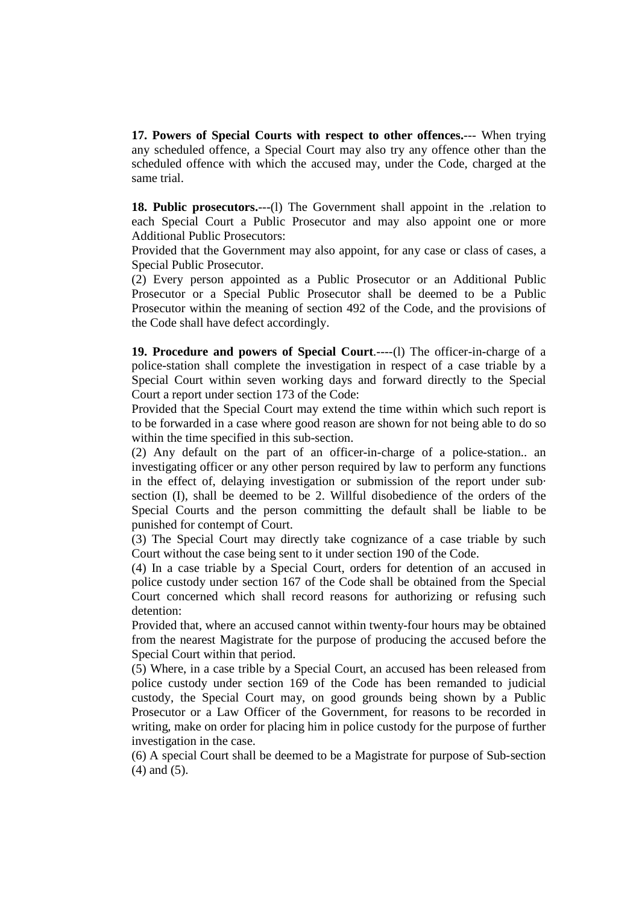**17. Powers of Special Courts with respect to other offences.**--- When trying any scheduled offence, a Special Court may also try any offence other than the scheduled offence with which the accused may, under the Code, charged at the same trial.

**18. Public prosecutors.**---(l) The Government shall appoint in the .relation to each Special Court a Public Prosecutor and may also appoint one or more Additional Public Prosecutors:

Provided that the Government may also appoint, for any case or class of cases, a Special Public Prosecutor.

(2) Every person appointed as a Public Prosecutor or an Additional Public Prosecutor or a Special Public Prosecutor shall be deemed to be a Public Prosecutor within the meaning of section 492 of the Code, and the provisions of the Code shall have defect accordingly.

**19. Procedure and powers of Special Court**.----(l) The officer-in-charge of a police-station shall complete the investigation in respect of a case triable by a Special Court within seven working days and forward directly to the Special Court a report under section 173 of the Code:

Provided that the Special Court may extend the time within which such report is to be forwarded in a case where good reason are shown for not being able to do so within the time specified in this sub-section.

(2) Any default on the part of an officer-in-charge of a police-station.. an investigating officer or any other person required by law to perform any functions in the effect of, delaying investigation or submission of the report under sub· section (I), shall be deemed to be 2. Willful disobedience of the orders of the Special Courts and the person committing the default shall be liable to be punished for contempt of Court.

(3) The Special Court may directly take cognizance of a case triable by such Court without the case being sent to it under section 190 of the Code.

(4) In a case triable by a Special Court, orders for detention of an accused in police custody under section 167 of the Code shall be obtained from the Special Court concerned which shall record reasons for authorizing or refusing such detention:

Provided that, where an accused cannot within twenty-four hours may be obtained from the nearest Magistrate for the purpose of producing the accused before the Special Court within that period.

(5) Where, in a case trible by a Special Court, an accused has been released from police custody under section 169 of the Code has been remanded to judicial custody, the Special Court may, on good grounds being shown by a Public Prosecutor or a Law Officer of the Government, for reasons to be recorded in writing, make on order for placing him in police custody for the purpose of further investigation in the case.

(6) A special Court shall be deemed to be a Magistrate for purpose of Sub-section (4) and (5).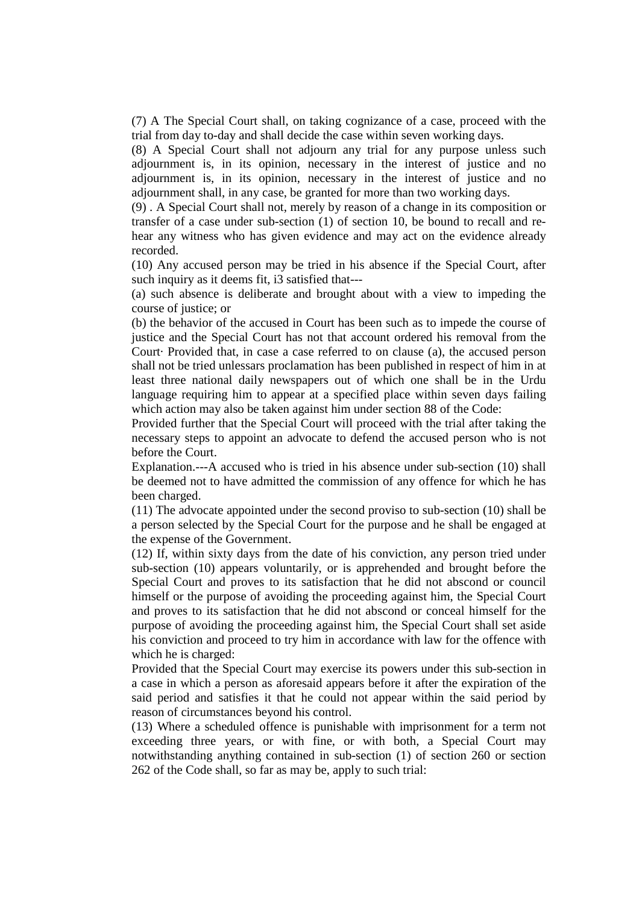(7) A The Special Court shall, on taking cognizance of a case, proceed with the trial from day to-day and shall decide the case within seven working days.

(8) A Special Court shall not adjourn any trial for any purpose unless such adjournment is, in its opinion, necessary in the interest of justice and no adjournment is, in its opinion, necessary in the interest of justice and no adjournment shall, in any case, be granted for more than two working days.

(9) . A Special Court shall not, merely by reason of a change in its composition or transfer of a case under sub-section (1) of section 10, be bound to recall and rehear any witness who has given evidence and may act on the evidence already recorded.

(10) Any accused person may be tried in his absence if the Special Court, after such inquiry as it deems fit, i3 satisfied that---

(a) such absence is deliberate and brought about with a view to impeding the course of justice; or

(b) the behavior of the accused in Court has been such as to impede the course of justice and the Special Court has not that account ordered his removal from the Court· Provided that, in case a case referred to on clause (a), the accused person shall not be tried unlessars proclamation has been published in respect of him in at least three national daily newspapers out of which one shall be in the Urdu language requiring him to appear at a specified place within seven days failing which action may also be taken against him under section 88 of the Code:

Provided further that the Special Court will proceed with the trial after taking the necessary steps to appoint an advocate to defend the accused person who is not before the Court.

Explanation.---A accused who is tried in his absence under sub-section (10) shall be deemed not to have admitted the commission of any offence for which he has been charged.

(11) The advocate appointed under the second proviso to sub-section (10) shall be a person selected by the Special Court for the purpose and he shall be engaged at the expense of the Government.

(12) If, within sixty days from the date of his conviction, any person tried under sub-section (10) appears voluntarily, or is apprehended and brought before the Special Court and proves to its satisfaction that he did not abscond or council himself or the purpose of avoiding the proceeding against him, the Special Court and proves to its satisfaction that he did not abscond or conceal himself for the purpose of avoiding the proceeding against him, the Special Court shall set aside his conviction and proceed to try him in accordance with law for the offence with which he is charged:

Provided that the Special Court may exercise its powers under this sub-section in a case in which a person as aforesaid appears before it after the expiration of the said period and satisfies it that he could not appear within the said period by reason of circumstances beyond his control.

(13) Where a scheduled offence is punishable with imprisonment for a term not exceeding three years, or with fine, or with both, a Special Court may notwithstanding anything contained in sub-section (1) of section 260 or section 262 of the Code shall, so far as may be, apply to such trial: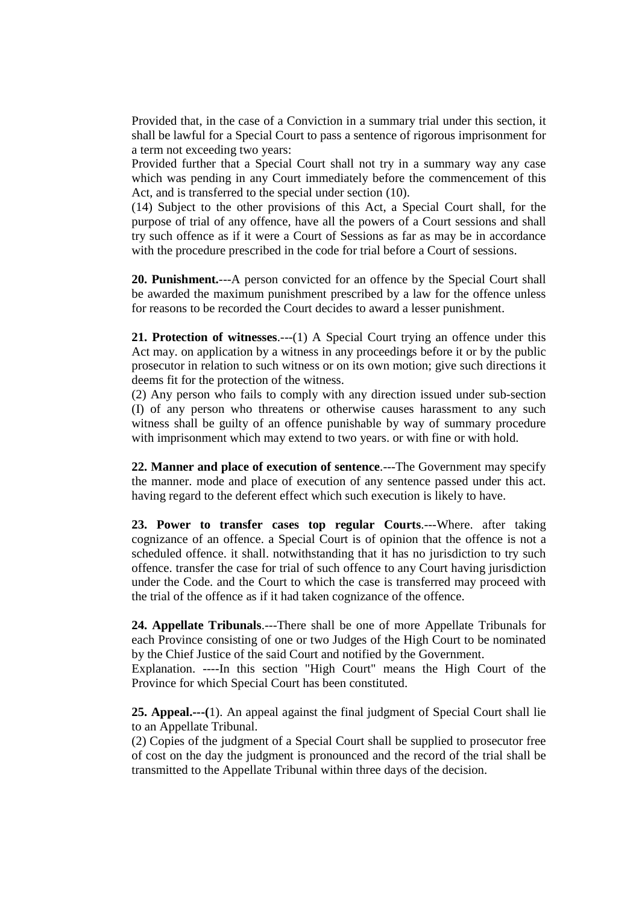Provided that, in the case of a Conviction in a summary trial under this section, it shall be lawful for a Special Court to pass a sentence of rigorous imprisonment for a term not exceeding two years:

Provided further that a Special Court shall not try in a summary way any case which was pending in any Court immediately before the commencement of this Act, and is transferred to the special under section (10).

(14) Subject to the other provisions of this Act, a Special Court shall, for the purpose of trial of any offence, have all the powers of a Court sessions and shall try such offence as if it were a Court of Sessions as far as may be in accordance with the procedure prescribed in the code for trial before a Court of sessions.

**20. Punishment.**---A person convicted for an offence by the Special Court shall be awarded the maximum punishment prescribed by a law for the offence unless for reasons to be recorded the Court decides to award a lesser punishment.

**21. Protection of witnesses**.---(1) A Special Court trying an offence under this Act may. on application by a witness in any proceedings before it or by the public prosecutor in relation to such witness or on its own motion; give such directions it deems fit for the protection of the witness.

(2) Any person who fails to comply with any direction issued under sub-section (I) of any person who threatens or otherwise causes harassment to any such witness shall be guilty of an offence punishable by way of summary procedure with imprisonment which may extend to two years. or with fine or with hold.

**22. Manner and place of execution of sentence**.---The Government may specify the manner. mode and place of execution of any sentence passed under this act. having regard to the deferent effect which such execution is likely to have.

**23. Power to transfer cases top regular Courts**.---Where. after taking cognizance of an offence. a Special Court is of opinion that the offence is not a scheduled offence. it shall. notwithstanding that it has no jurisdiction to try such offence. transfer the case for trial of such offence to any Court having jurisdiction under the Code. and the Court to which the case is transferred may proceed with the trial of the offence as if it had taken cognizance of the offence.

**24. Appellate Tribunals**.---There shall be one of more Appellate Tribunals for each Province consisting of one or two Judges of the High Court to be nominated by the Chief Justice of the said Court and notified by the Government.

Explanation. ----In this section "High Court" means the High Court of the Province for which Special Court has been constituted.

**25. Appeal.---(**1). An appeal against the final judgment of Special Court shall lie to an Appellate Tribunal.

(2) Copies of the judgment of a Special Court shall be supplied to prosecutor free of cost on the day the judgment is pronounced and the record of the trial shall be transmitted to the Appellate Tribunal within three days of the decision.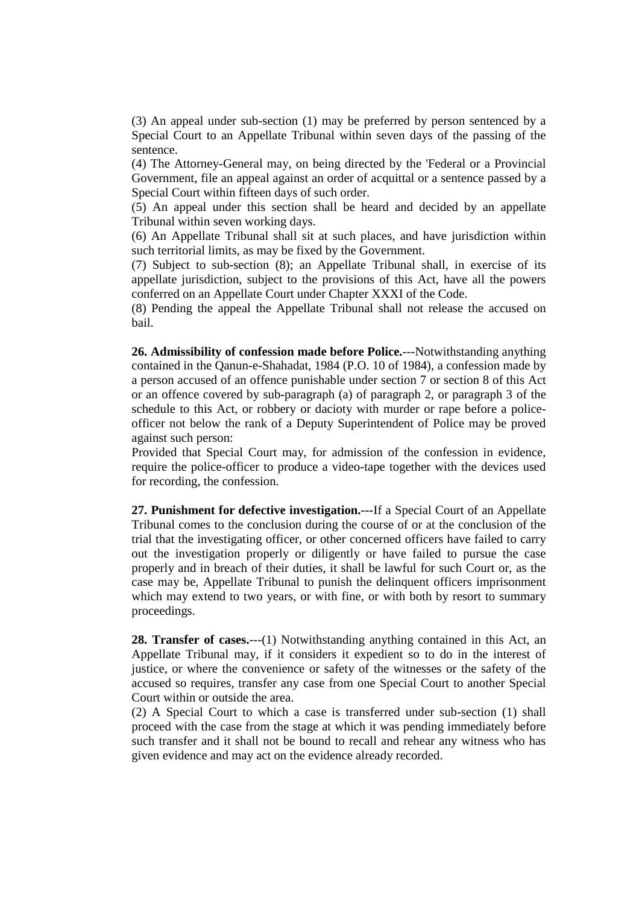(3) An appeal under sub-section (1) may be preferred by person sentenced by a Special Court to an Appellate Tribunal within seven days of the passing of the sentence.

(4) The Attorney-General may, on being directed by the 'Federal or a Provincial Government, file an appeal against an order of acquittal or a sentence passed by a Special Court within fifteen days of such order.

(5) An appeal under this section shall be heard and decided by an appellate Tribunal within seven working days.

(6) An Appellate Tribunal shall sit at such places, and have jurisdiction within such territorial limits, as may be fixed by the Government.

(7) Subject to sub-section (8); an Appellate Tribunal shall, in exercise of its appellate jurisdiction, subject to the provisions of this Act, have all the powers conferred on an Appellate Court under Chapter XXXI of the Code.

(8) Pending the appeal the Appellate Tribunal shall not release the accused on bail.

**26. Admissibility of confession made before Police.**---Notwithstanding anything contained in the Qanun-e-Shahadat, 1984 (P.O. 10 of 1984), a confession made by a person accused of an offence punishable under section 7 or section 8 of this Act or an offence covered by sub-paragraph (a) of paragraph 2, or paragraph 3 of the schedule to this Act, or robbery or dacioty with murder or rape before a policeofficer not below the rank of a Deputy Superintendent of Police may be proved against such person:

Provided that Special Court may, for admission of the confession in evidence, require the police-officer to produce a video-tape together with the devices used for recording, the confession.

**27. Punishment for defective investigation.**---If a Special Court of an Appellate Tribunal comes to the conclusion during the course of or at the conclusion of the trial that the investigating officer, or other concerned officers have failed to carry out the investigation properly or diligently or have failed to pursue the case properly and in breach of their duties, it shall be lawful for such Court or, as the case may be, Appellate Tribunal to punish the delinquent officers imprisonment which may extend to two years, or with fine, or with both by resort to summary proceedings.

**28. Transfer of cases.**---(1) Notwithstanding anything contained in this Act, an Appellate Tribunal may, if it considers it expedient so to do in the interest of justice, or where the convenience or safety of the witnesses or the safety of the accused so requires, transfer any case from one Special Court to another Special Court within or outside the area.

(2) A Special Court to which a case is transferred under sub-section (1) shall proceed with the case from the stage at which it was pending immediately before such transfer and it shall not be bound to recall and rehear any witness who has given evidence and may act on the evidence already recorded.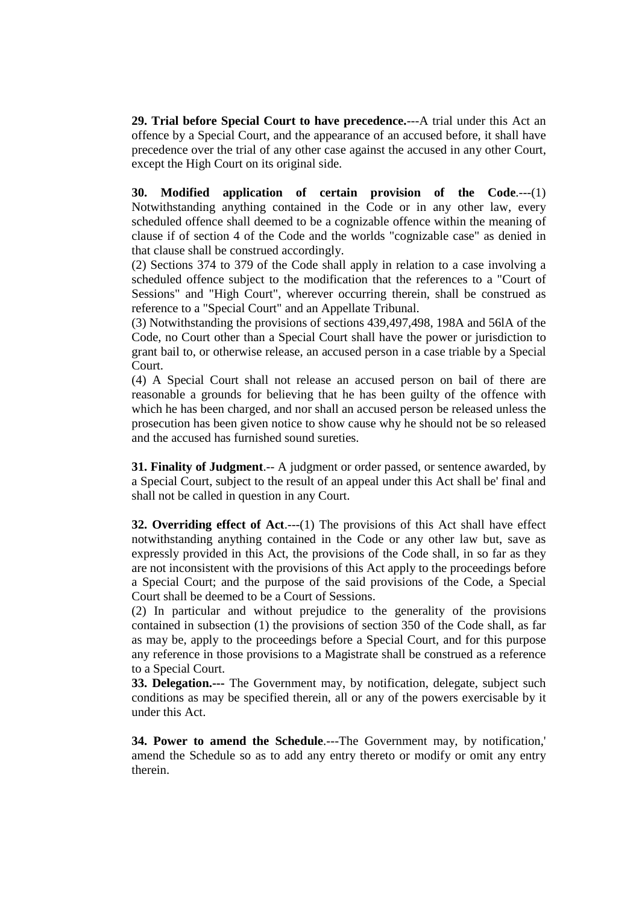**29. Trial before Special Court to have precedence.**---A trial under this Act an offence by a Special Court, and the appearance of an accused before, it shall have precedence over the trial of any other case against the accused in any other Court, except the High Court on its original side.

**30. Modified application of certain provision of the Code**.---(1) Notwithstanding anything contained in the Code or in any other law, every scheduled offence shall deemed to be a cognizable offence within the meaning of clause if of section 4 of the Code and the worlds "cognizable case" as denied in that clause shall be construed accordingly.

(2) Sections 374 to 379 of the Code shall apply in relation to a case involving a scheduled offence subject to the modification that the references to a "Court of Sessions" and "High Court", wherever occurring therein, shall be construed as reference to a "Special Court" and an Appellate Tribunal.

(3) Notwithstanding the provisions of sections 439,497,498, 198A and 56lA of the Code, no Court other than a Special Court shall have the power or jurisdiction to grant bail to, or otherwise release, an accused person in a case triable by a Special Court.

(4) A Special Court shall not release an accused person on bail of there are reasonable a grounds for believing that he has been guilty of the offence with which he has been charged, and nor shall an accused person be released unless the prosecution has been given notice to show cause why he should not be so released and the accused has furnished sound sureties.

**31. Finality of Judgment**.-- A judgment or order passed, or sentence awarded, by a Special Court, subject to the result of an appeal under this Act shall be' final and shall not be called in question in any Court.

**32. Overriding effect of Act.——(1)** The provisions of this Act shall have effect notwithstanding anything contained in the Code or any other law but, save as expressly provided in this Act, the provisions of the Code shall, in so far as they are not inconsistent with the provisions of this Act apply to the proceedings before a Special Court; and the purpose of the said provisions of the Code, a Special Court shall be deemed to be a Court of Sessions.

(2) In particular and without prejudice to the generality of the provisions contained in subsection (1) the provisions of section 350 of the Code shall, as far as may be, apply to the proceedings before a Special Court, and for this purpose any reference in those provisions to a Magistrate shall be construed as a reference to a Special Court.

**33. Delegation.---** The Government may, by notification, delegate, subject such conditions as may be specified therein, all or any of the powers exercisable by it under this Act.

**34. Power to amend the Schedule**.---The Government may, by notification,' amend the Schedule so as to add any entry thereto or modify or omit any entry therein.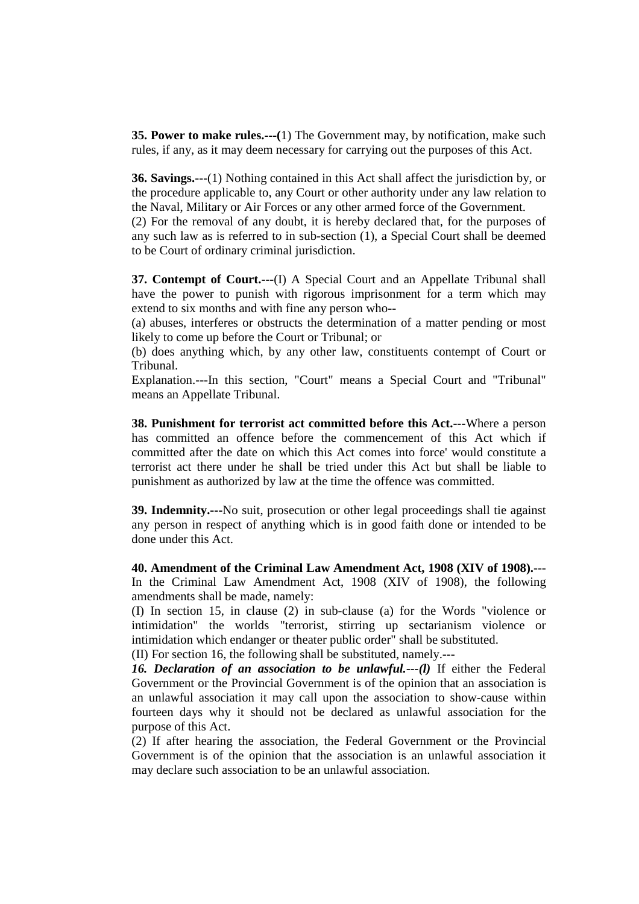**35. Power to make rules.---(**1) The Government may, by notification, make such rules, if any, as it may deem necessary for carrying out the purposes of this Act.

**36. Savings.**---(1) Nothing contained in this Act shall affect the jurisdiction by, or the procedure applicable to, any Court or other authority under any law relation to the Naval, Military or Air Forces or any other armed force of the Government.

(2) For the removal of any doubt, it is hereby declared that, for the purposes of any such law as is referred to in sub-section (1), a Special Court shall be deemed to be Court of ordinary criminal jurisdiction.

**37. Contempt of Court.**---(I) A Special Court and an Appellate Tribunal shall have the power to punish with rigorous imprisonment for a term which may extend to six months and with fine any person who--

(a) abuses, interferes or obstructs the determination of a matter pending or most likely to come up before the Court or Tribunal; or

(b) does anything which, by any other law, constituents contempt of Court or Tribunal.

Explanation.---In this section, "Court" means a Special Court and "Tribunal" means an Appellate Tribunal.

**38. Punishment for terrorist act committed before this Act.**---Where a person has committed an offence before the commencement of this Act which if committed after the date on which this Act comes into force' would constitute a terrorist act there under he shall be tried under this Act but shall be liable to punishment as authorized by law at the time the offence was committed.

**39. Indemnity.---**No suit, prosecution or other legal proceedings shall tie against any person in respect of anything which is in good faith done or intended to be done under this Act.

**40. Amendment of the Criminal Law Amendment Act, 1908 (XIV of 1908).**--- In the Criminal Law Amendment Act, 1908 (XIV of 1908), the following amendments shall be made, namely:

(I) In section 15, in clause (2) in sub-clause (a) for the Words "violence or intimidation" the worlds "terrorist, stirring up sectarianism violence or intimidation which endanger or theater public order" shall be substituted. (II) For section 16, the following shall be substituted, namely.---

*16. Declaration of an association to be unlawful.---(l)* If either the Federal Government or the Provincial Government is of the opinion that an association is an unlawful association it may call upon the association to show-cause within fourteen days why it should not be declared as unlawful association for the purpose of this Act.

(2) If after hearing the association, the Federal Government or the Provincial Government is of the opinion that the association is an unlawful association it may declare such association to be an unlawful association.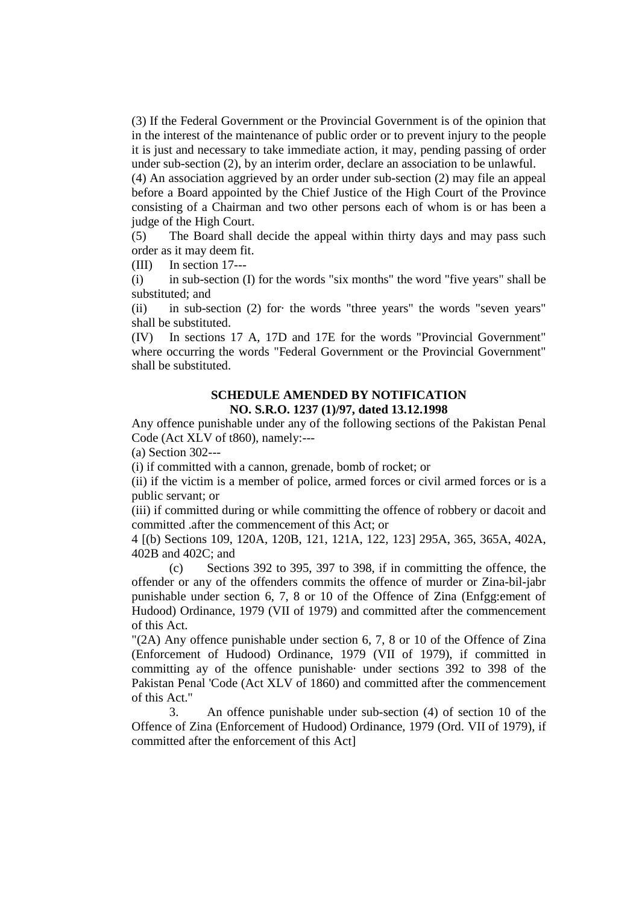(3) If the Federal Government or the Provincial Government is of the opinion that in the interest of the maintenance of public order or to prevent injury to the people it is just and necessary to take immediate action, it may, pending passing of order under sub-section (2), by an interim order, declare an association to be unlawful.

(4) An association aggrieved by an order under sub-section (2) may file an appeal before a Board appointed by the Chief Justice of the High Court of the Province consisting of a Chairman and two other persons each of whom is or has been a judge of the High Court.

(5) The Board shall decide the appeal within thirty days and may pass such order as it may deem fit.

(III) In section 17---

(i) in sub-section (I) for the words "six months" the word "five years" shall be substituted; and

(ii) in sub-section (2) for· the words "three years" the words "seven years" shall be substituted.

(IV) In sections 17 A, 17D and 17E for the words "Provincial Government" where occurring the words "Federal Government or the Provincial Government" shall be substituted.

## **SCHEDULE AMENDED BY NOTIFICATION NO. S.R.O. 1237 (1)/97, dated 13.12.1998**

Any offence punishable under any of the following sections of the Pakistan Penal Code (Act XLV of t860), namely:---

(a) Section 302---

(i) if committed with a cannon, grenade, bomb of rocket; or

(ii) if the victim is a member of police, armed forces or civil armed forces or is a public servant; or

(iii) if committed during or while committing the offence of robbery or dacoit and committed .after the commencement of this Act; or

4 [(b) Sections 109, 120A, 120B, 121, 121A, 122, 123] 295A, 365, 365A, 402A, 402B and 402C; and

 (c) Sections 392 to 395, 397 to 398, if in committing the offence, the offender or any of the offenders commits the offence of murder or Zina-bil-jabr punishable under section 6, 7, 8 or 10 of the Offence of Zina (Enfgg:ement of Hudood) Ordinance, 1979 (VII of 1979) and committed after the commencement of this Act.

"(2A) Any offence punishable under section 6, 7, 8 or 10 of the Offence of Zina (Enforcement of Hudood) Ordinance, 1979 (VII of 1979), if committed in committing ay of the offence punishable· under sections 392 to 398 of the Pakistan Penal 'Code (Act XLV of 1860) and committed after the commencement of this Act."

 3. An offence punishable under sub-section (4) of section 10 of the Offence of Zina (Enforcement of Hudood) Ordinance, 1979 (Ord. VII of 1979), if committed after the enforcement of this Act]